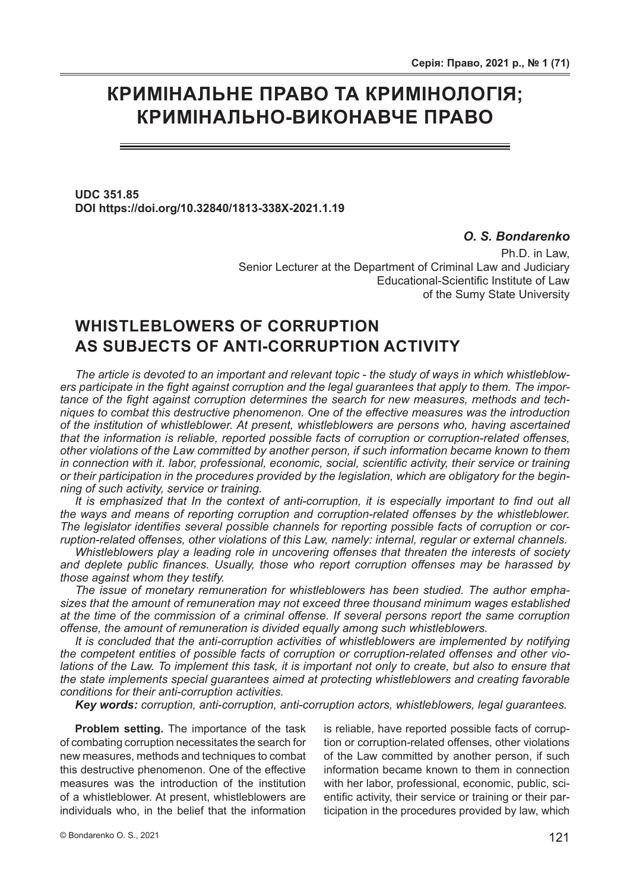# **КРИМІНАЛЬНЕ ПРАВО ТА КРИМІНОЛОГІЯ; КРИМІНАЛЬНО-ВИКОНАВЧЕ ПРАВО**

**UDC 351.85 DOI https://doi.org/10.32840/1813-338X-2021.1.19**

### *O. S. Bondarenko*

Ph.D. in Law Senior Lecturer at the Department of Criminal Law and Judiciary Educational-Scientific Institute of Law of the Sumy State University

## **WHISTLEBLOWERS OF CORRUPTION AS SUBJECTS OF ANTI-CORRUPTION ACTIVITY**

*The article is devoted to an important and relevant topic - the study of ways in which whistleblowers participate in the fight against corruption and the legal guarantees that apply to them. The importance of the fight against corruption determines the search for new measures, methods and techniques to combat this destructive phenomenon. One of the effective measures was the introduction of the institution of whistleblower. At present, whistleblowers are persons who, having ascertained that the information is reliable, reported possible facts of corruption or corruption-related offenses, other violations of the Law committed by another person, if such information became known to them in connection with it. labor, professional, economic, social, scientific activity, their service or training or their participation in the procedures provided by the legislation, which are obligatory for the beginning of such activity, service or training.*

It is emphasized that In the context of anti-corruption, it is especially important to find out all *the ways and means of reporting corruption and corruption-related offenses by the whistleblower. The legislator identifies several possible channels for reporting possible facts of corruption or corruption-related offenses, other violations of this Law, namely: internal, regular or external channels.*

*Whistleblowers play a leading role in uncovering offenses that threaten the interests of society and deplete public finances. Usually, those who report corruption offenses may be harassed by those against whom they testify.*

*The issue of monetary remuneration for whistleblowers has been studied. The author emphasizes that the amount of remuneration may not exceed three thousand minimum wages established at the time of the commission of a criminal offense. If several persons report the same corruption offense, the amount of remuneration is divided equally among such whistleblowers.*

*It is concluded that the anti-corruption activities of whistleblowers are implemented by notifying the competent entities of possible facts of corruption or corruption-related offenses and other violations of the Law. To implement this task, it is important not only to create, but also to ensure that the state implements special guarantees aimed at protecting whistleblowers and creating favorable conditions for their anti-corruption activities.*

*Key words: corruption, anti-corruption, anti-corruption actors, whistleblowers, legal guarantees.*

**Problem setting.** The importance of the task of combating corruption necessitates the search for new measures, methods and techniques to combat this destructive phenomenon. One of the effective measures was the introduction of the institution of a whistleblower. At present, whistleblowers are individuals who, in the belief that the information is reliable, have reported possible facts of corruption or corruption-related offenses, other violations of the Law committed by another person, if such information became known to them in connection with her labor, professional, economic, public, scientific activity, their service or training or their participation in the procedures provided by law, which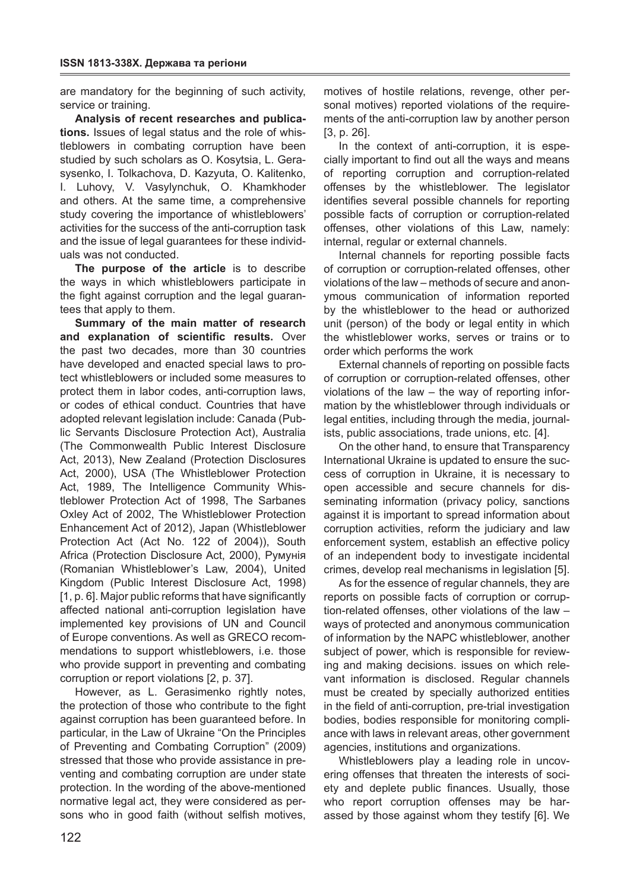are mandatory for the beginning of such activity, service or training.

**Analysis of recent researches and publications.** Issues of legal status and the role of whistleblowers in combating corruption have been studied by such scholars as O. Kosytsia, L. Gerasysenko, I. Tolkachova, D. Kazyuta, O. Kalitenko, I. Luhovy, V. Vasylynchuk, O. Khamkhoder and others. At the same time, a comprehensive study covering the importance of whistleblowers' activities for the success of the anti-corruption task and the issue of legal guarantees for these individuals was not conducted.

**The purpose of the article** is to describe the ways in which whistleblowers participate in the fight against corruption and the legal guarantees that apply to them.

**Summary of the main matter of research and explanation of scientific results.** Over the past two decades, more than 30 countries have developed and enacted special laws to protect whistleblowers or included some measures to protect them in labor codes, anti-corruption laws, or codes of ethical conduct. Countries that have adopted relevant legislation include: Canada (Public Servants Disclosure Protection Act), Australia (The Commonwealth Public Interest Disclosure Act, 2013), New Zealand (Protection Disclosures Act, 2000), USA (The Whistleblower Protection Act, 1989, The Intelligence Community Whistleblower Protection Act of 1998, The Sarbanes Oxley Act of 2002, The Whistleblower Protection Enhancement Act of 2012), Japan (Whistleblower Protection Act (Act No. 122 of 2004)), South Africa (Protection Disclosure Act, 2000), Румунія (Romanian Whistleblower's Law, 2004), United Kingdom (Public Interest Disclosure Act, 1998) [1, p. 6]. Major public reforms that have significantly affected national anti-corruption legislation have implemented key provisions of UN and Council of Europe conventions. As well as GRECO recommendations to support whistleblowers, i.e. those who provide support in preventing and combating corruption or report violations [2, p. 37].

However, as L. Gerasimenko rightly notes, the protection of those who contribute to the fight against corruption has been guaranteed before. In particular, in the Law of Ukraine "On the Principles of Preventing and Combating Corruption" (2009) stressed that those who provide assistance in preventing and combating corruption are under state protection. In the wording of the above-mentioned normative legal act, they were considered as persons who in good faith (without selfish motives,

motives of hostile relations, revenge, other personal motives) reported violations of the requirements of the anti-corruption law by another person [3, p. 26].

In the context of anti-corruption, it is especially important to find out all the ways and means of reporting corruption and corruption-related offenses by the whistleblower. The legislator identifies several possible channels for reporting possible facts of corruption or corruption-related offenses, other violations of this Law, namely: internal, regular or external channels.

Internal channels for reporting possible facts of corruption or corruption-related offenses, other violations of the law – methods of secure and anonymous communication of information reported by the whistleblower to the head or authorized unit (person) of the body or legal entity in which the whistleblower works, serves or trains or to order which performs the work

External channels of reporting on possible facts of corruption or corruption-related offenses, other violations of the law – the way of reporting information by the whistleblower through individuals or legal entities, including through the media, journalists, public associations, trade unions, etc. [4].

On the other hand, to ensure that Transparency International Ukraine is updated to ensure the success of corruption in Ukraine, it is necessary to open accessible and secure channels for disseminating information (privacy policy, sanctions against it is important to spread information about corruption activities, reform the judiciary and law enforcement system, establish an effective policy of an independent body to investigate incidental crimes, develop real mechanisms in legislation [5].

As for the essence of regular channels, they are reports on possible facts of corruption or corruption-related offenses, other violations of the law – ways of protected and anonymous communication of information by the NAPC whistleblower, another subject of power, which is responsible for reviewing and making decisions. issues on which relevant information is disclosed. Regular channels must be created by specially authorized entities in the field of anti-corruption, pre-trial investigation bodies, bodies responsible for monitoring compliance with laws in relevant areas, other government agencies, institutions and organizations.

Whistleblowers play a leading role in uncovering offenses that threaten the interests of society and deplete public finances. Usually, those who report corruption offenses may be harassed by those against whom they testify [6]. We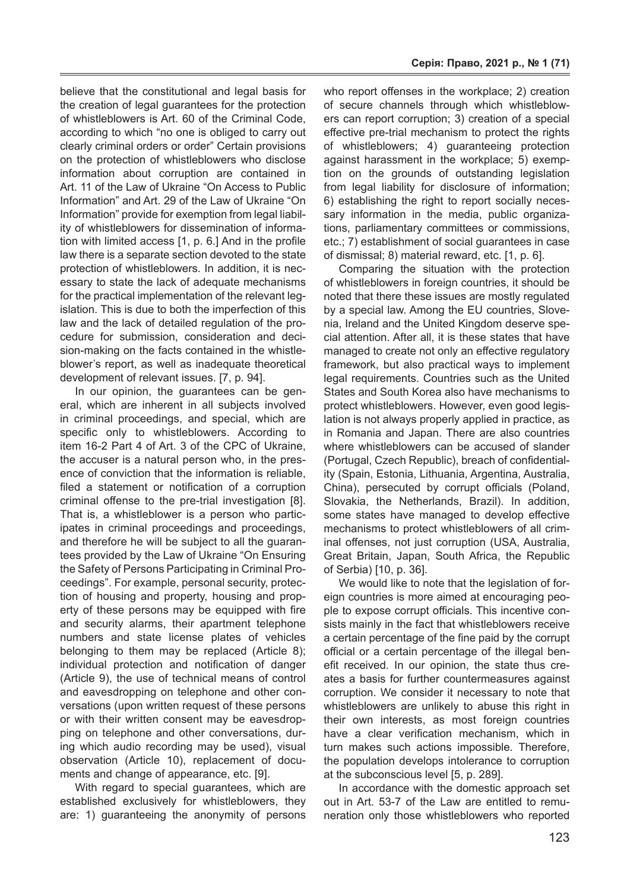believe that the constitutional and legal basis for the creation of legal guarantees for the protection of whistleblowers is Art. 60 of the Criminal Code, according to which "no one is obliged to carry out clearly criminal orders or order" Certain provisions on the protection of whistleblowers who disclose information about corruption are contained in Art. 11 of the Law of Ukraine "On Access to Public Information" and Art. 29 of the Law of Ukraine "On Information" provide for exemption from legal liability of whistleblowers for dissemination of information with limited access [1, p. 6.] And in the profile law there is a separate section devoted to the state protection of whistleblowers. In addition, it is necessary to state the lack of adequate mechanisms for the practical implementation of the relevant legislation. This is due to both the imperfection of this law and the lack of detailed regulation of the procedure for submission, consideration and decision-making on the facts contained in the whistleblower's report, as well as inadequate theoretical development of relevant issues. [7, p. 94].

In our opinion, the guarantees can be general, which are inherent in all subjects involved in criminal proceedings, and special, which are specific only to whistleblowers. According to item 16-2 Part 4 of Art. 3 of the CPC of Ukraine, the accuser is a natural person who, in the presence of conviction that the information is reliable, filed a statement or notification of a corruption criminal offense to the pre-trial investigation [8]. That is, a whistleblower is a person who participates in criminal proceedings and proceedings, and therefore he will be subject to all the guarantees provided by the Law of Ukraine "On Ensuring the Safety of Persons Participating in Criminal Proceedings". For example, personal security, protection of housing and property, housing and property of these persons may be equipped with fire and security alarms, their apartment telephone numbers and state license plates of vehicles belonging to them may be replaced (Article 8); individual protection and notification of danger (Article 9), the use of technical means of control and eavesdropping on telephone and other conversations (upon written request of these persons or with their written consent may be eavesdropping on telephone and other conversations, during which audio recording may be used), visual observation (Article 10), replacement of documents and change of appearance, etc. [9].

With regard to special guarantees, which are established exclusively for whistleblowers, they are: 1) guaranteeing the anonymity of persons who report offenses in the workplace; 2) creation of secure channels through which whistleblowers can report corruption; 3) creation of a special effective pre-trial mechanism to protect the rights of whistleblowers; 4) guaranteeing protection against harassment in the workplace; 5) exemption on the grounds of outstanding legislation from legal liability for disclosure of information; 6) establishing the right to report socially necessary information in the media, public organizations, parliamentary committees or commissions, etc.; 7) establishment of social guarantees in case of dismissal; 8) material reward, etc. [1, p. 6].

Comparing the situation with the protection of whistleblowers in foreign countries, it should be noted that there these issues are mostly regulated by a special law. Among the EU countries, Slovenia, Ireland and the United Kingdom deserve special attention. After all, it is these states that have managed to create not only an effective regulatory framework, but also practical ways to implement legal requirements. Countries such as the United States and South Korea also have mechanisms to protect whistleblowers. However, even good legislation is not always properly applied in practice, as in Romania and Japan. There are also countries where whistleblowers can be accused of slander (Portugal, Czech Republic), breach of confidentiality (Spain, Estonia, Lithuania, Argentina, Australia, China), persecuted by corrupt officials (Poland, Slovakia, the Netherlands, Brazil). In addition, some states have managed to develop effective mechanisms to protect whistleblowers of all criminal offenses, not just corruption (USA, Australia, Great Britain, Japan, South Africa, the Republic of Serbia) [10, p. 36].

We would like to note that the legislation of foreign countries is more aimed at encouraging people to expose corrupt officials. This incentive consists mainly in the fact that whistleblowers receive a certain percentage of the fine paid by the corrupt official or a certain percentage of the illegal benefit received. In our opinion, the state thus creates a basis for further countermeasures against corruption. We consider it necessary to note that whistleblowers are unlikely to abuse this right in their own interests, as most foreign countries have a clear verification mechanism, which in turn makes such actions impossible. Therefore, the population develops intolerance to corruption at the subconscious level [5, p. 289].

In accordance with the domestic approach set out in Art. 53-7 of the Law are entitled to remuneration only those whistleblowers who reported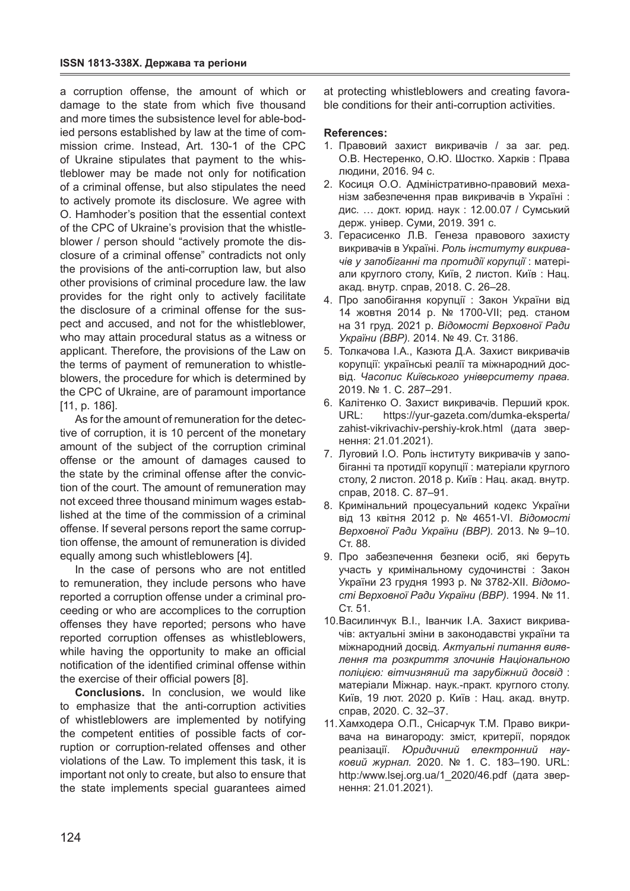a corruption offense, the amount of which or damage to the state from which five thousand and more times the subsistence level for able-bodied persons established by law at the time of commission crime. Instead, Art. 130-1 of the CPC of Ukraine stipulates that payment to the whistleblower may be made not only for notification of a criminal offense, but also stipulates the need to actively promote its disclosure. We agree with O. Hamhoder's position that the essential context of the CPC of Ukraine's provision that the whistleblower / person should "actively promote the disclosure of a criminal offense" contradicts not only the provisions of the anti-corruption law, but also other provisions of criminal procedure law. the law provides for the right only to actively facilitate the disclosure of a criminal offense for the suspect and accused, and not for the whistleblower, who may attain procedural status as a witness or applicant. Therefore, the provisions of the Law on the terms of payment of remuneration to whistleblowers, the procedure for which is determined by the CPC of Ukraine, are of paramount importance [11, p. 186].

As for the amount of remuneration for the detective of corruption, it is 10 percent of the monetary amount of the subject of the corruption criminal offense or the amount of damages caused to the state by the criminal offense after the conviction of the court. The amount of remuneration may not exceed three thousand minimum wages established at the time of the commission of a criminal offense. If several persons report the same corruption offense, the amount of remuneration is divided equally among such whistleblowers [4].

In the case of persons who are not entitled to remuneration, they include persons who have reported a corruption offense under a criminal proceeding or who are accomplices to the corruption offenses they have reported; persons who have reported corruption offenses as whistleblowers, while having the opportunity to make an official notification of the identified criminal offense within the exercise of their official powers [8].

**Conclusions.** In conclusion, we would like to emphasize that the anti-corruption activities of whistleblowers are implemented by notifying the competent entities of possible facts of corruption or corruption-related offenses and other violations of the Law. To implement this task, it is important not only to create, but also to ensure that the state implements special guarantees aimed

at protecting whistleblowers and creating favorable conditions for their anti-corruption activities.

### **References:**

- 1. Правовий захист викривачів / за заг. ред. О.В. Нестеренко, О.Ю. Шостко. Харків : Права людини, 2016. 94 с.
- 2. Косиця О.О. Адміністративно-правовий механізм забезпечення прав викривачів в Україні : дис. … докт. юрид. наук : 12.00.07 / Сумський держ. універ. Суми, 2019. 391 с.
- 3. Герасисенко Л.В. Генеза правового захисту викривачів в Україні. *Роль інституту викривачів у запобіганні та протидії корупції* : матеріали круглого столу, Київ, 2 листоп. Київ : Нац. акад. внутр. справ, 2018. С. 26–28.
- 4. Про запобігання корупції : Закон України від 14 жовтня 2014 р. № 1700-VII; ред. станом на 31 груд. 2021 р. *Відомості Верховної Ради України (ВВР).* 2014. № 49. Ст. 3186.
- 5. Толкачова І.А., Казюта Д.А. Захист викривачів корупції: українські реалії та міжнародний досвід. *Часопис Київського університету права.*  2019. № 1. С. 287–291.
- 6. Калітенко О. Захист викривачів. Перший крок. URL: https://yur-gazeta.com/dumka-eksperta/ zahist-vikrivachiv-pershiy-krok.html (дата звернення: 21.01.2021).
- 7. Луговий І.О. Роль інституту викривачів у запобіганні та протидії корупції : матеріали круглого столу, 2 листоп. 2018 р. Київ : Нац. акад. внутр. справ, 2018. С. 87–91.
- 8. Кримінальний процесуальний кодекс України від 13 квітня 2012 р. № 4651-VI. *Відомості Верховної Ради України (ВВР).* 2013. № 9–10. Ст. 88.
- 9. Про забезпечення безпеки осіб, які беруть участь у кримінальному судочинстві : Закон України 23 грудня 1993 р. № 3782-XII. *Відомості Верховної Ради України (ВВР).* 1994. № 11. Ст. 51.
- 10.Василинчук В.І., Іванчик І.А. Захист викривачів: актуальні зміни в законодавстві україни та міжнародний досвід. *Актуальні питання виявлення та розкриття злочинів Національною поліцією: вітчизняний та зарубіжний досвід* : матеріали Міжнар. наук.-практ. круглого столу. Київ, 19 лют. 2020 р. Київ : Нац. акад. внутр. справ, 2020. С. 32–37.
- 11.Хамходера О.П., Снісарчук Т.М. Право викривача на винагороду: зміст, критерії, порядок реалізації. *Юридичний електронний науковий журнал.* 2020. № 1. С. 183–190. URL: http:/www.lsej.org.ua/1\_2020/46.pdf (дата звернення: 21.01.2021).